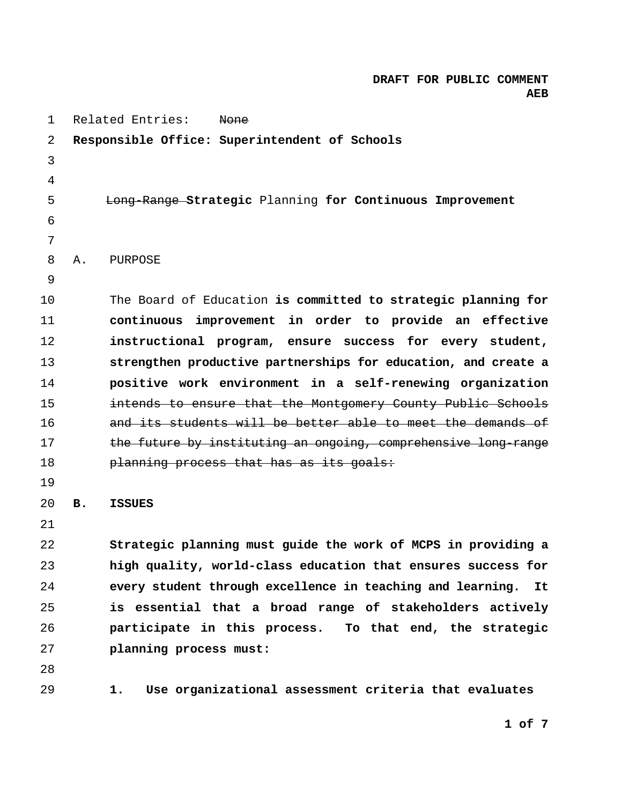| 1  |    | Related Entries:<br><b>None</b>                                  |
|----|----|------------------------------------------------------------------|
| 2  |    | Responsible Office: Superintendent of Schools                    |
| 3  |    |                                                                  |
| 4  |    |                                                                  |
| 5  |    | Long Range Strategic Planning for Continuous Improvement         |
| 6  |    |                                                                  |
| 7  |    |                                                                  |
| 8  | Α. | PURPOSE                                                          |
| 9  |    |                                                                  |
| 10 |    | The Board of Education is committed to strategic planning for    |
| 11 |    | continuous improvement in order to provide an effective          |
| 12 |    | instructional program, ensure success for every student,         |
| 13 |    | strengthen productive partnerships for education, and create a   |
| 14 |    | positive work environment in a self-renewing organization        |
| 15 |    | intends to ensure that the Montgomery County Public Schools      |
| 16 |    | and its students will be better able to meet the demands of      |
| 17 |    | the future by instituting an ongoing, comprehensive long-range   |
| 18 |    | planning process that has as its goals:                          |
| 19 |    |                                                                  |
| 20 | в. | <b>ISSUES</b>                                                    |
| 21 |    |                                                                  |
| 22 |    | Strategic planning must guide the work of MCPS in providing a    |
| 23 |    | high quality, world-class education that ensures success for     |
| 24 |    | every student through excellence in teaching and learning.<br>It |
| 25 |    | is essential that a broad range of stakeholders actively         |
| 26 |    | participate in this process. To that end, the strategic          |
| 27 |    | planning process must:                                           |
| 28 |    |                                                                  |
| 29 |    | Use organizational assessment criteria that evaluates<br>1.      |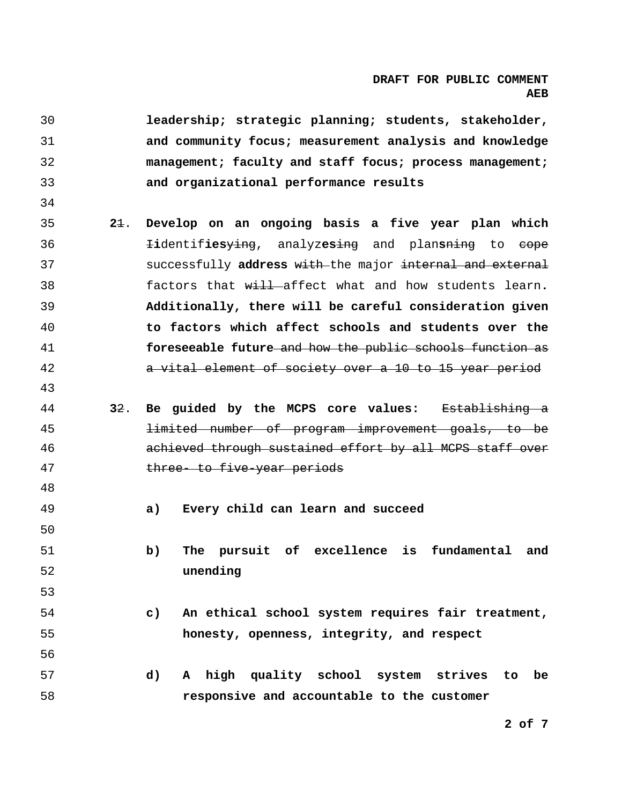**leadership; strategic planning; students, stakeholder, and community focus; measurement analysis and knowledge management; faculty and staff focus; process management; and organizational performance results 2**1. **Develop on an ongoing basis a five year plan which**  36 I**i**dentif**ies**ying, analyz**es**ing and plan**s**ning to cope 37 successfully **address** with the major internal and external 38 factors that will affect what and how students learn**. Additionally, there will be careful consideration given to factors which affect schools and students over the foreseeable future** and how the public schools function as 42 a vital element of society over a 10 to 15 year period **3**2. **Be guided by the MCPS core values:** Establishing a 45 limited number of program improvement goals, to be 46 achieved through sustained effort by all MCPS staff over 47 three- to five-year periods **a) Every child can learn and succeed b) The pursuit of excellence is fundamental and unending c) An ethical school system requires fair treatment, honesty, openness, integrity, and respect d) A high quality school system strives to be responsive and accountable to the customer**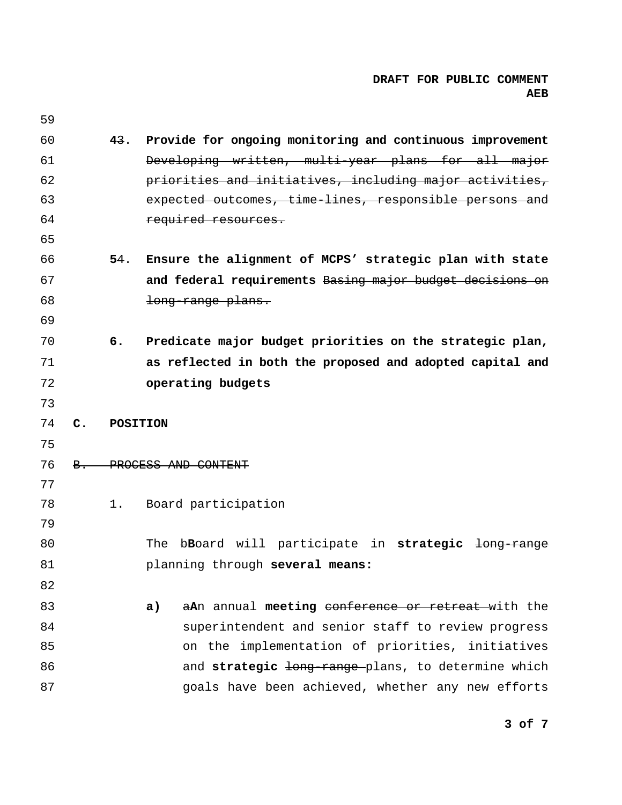| 59 |                |                 |                                                                   |
|----|----------------|-----------------|-------------------------------------------------------------------|
| 60 |                | 43.             | Provide for ongoing monitoring and continuous improvement         |
| 61 |                |                 | Developing written, multi-year plans for all major                |
| 62 |                |                 | priorities and initiatives, including major activities,           |
| 63 |                |                 | expected outcomes, time lines, responsible persons and            |
| 64 |                |                 | required resources.                                               |
| 65 |                |                 |                                                                   |
| 66 |                | 54.             | Ensure the alignment of MCPS' strategic plan with state           |
| 67 |                |                 | and federal requirements Basing major budget decisions on         |
| 68 |                |                 | long range plans.                                                 |
| 69 |                |                 |                                                                   |
| 70 |                | б.              | Predicate major budget priorities on the strategic plan,          |
| 71 |                |                 | as reflected in both the proposed and adopted capital and         |
| 72 |                |                 | operating budgets                                                 |
|    |                |                 |                                                                   |
| 73 |                |                 |                                                                   |
| 74 | $\mathbf{C}$ . | <b>POSITION</b> |                                                                   |
| 75 |                |                 |                                                                   |
| 76 | B.             |                 | PROCESS AND CONTENT                                               |
| 77 |                |                 |                                                                   |
| 78 |                | 1.              | Board participation                                               |
| 79 |                |                 |                                                                   |
| 80 |                |                 | The bBoard will participate in strategic<br><del>long-range</del> |
| 81 |                |                 | planning through several means:                                   |
| 82 |                |                 |                                                                   |
| 83 |                |                 | aAn annual meeting conference or retreat with the<br>a)           |
| 84 |                |                 | superintendent and senior staff to review progress                |
| 85 |                |                 | on the implementation of priorities, initiatives                  |
| 86 |                |                 | and strategic long-range-plans, to determine which                |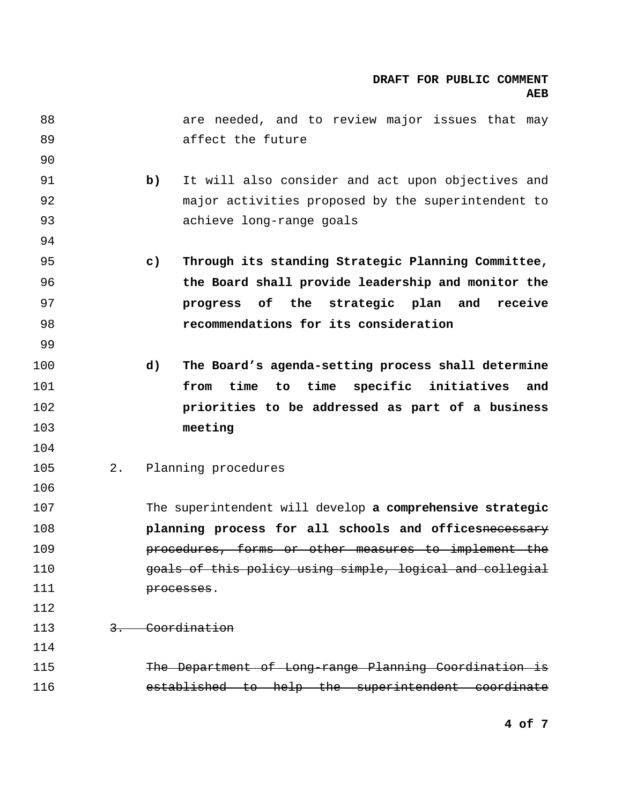| 88  |    | are needed, and to review major issues that may                      |
|-----|----|----------------------------------------------------------------------|
| 89  |    | affect the future                                                    |
| 90  |    |                                                                      |
| 91  |    | It will also consider and act upon objectives and<br>b)              |
| 92  |    | major activities proposed by the superintendent to                   |
| 93  |    | achieve long-range goals                                             |
| 94  |    |                                                                      |
| 95  |    | $\mathsf{c})$<br>Through its standing Strategic Planning Committee,  |
| 96  |    | the Board shall provide leadership and monitor the                   |
| 97  |    | progress of the strategic plan and<br>receive                        |
| 98  |    | recommendations for its consideration                                |
| 99  |    |                                                                      |
| 100 |    | The Board's agenda-setting process shall determine<br>$\mathbf{d}$ ) |
| 101 |    | specific initiatives<br>time<br>time<br>from<br>to<br>and            |
| 102 |    | priorities to be addressed as part of a business                     |
| 103 |    | meeting                                                              |
| 104 |    |                                                                      |
| 105 | 2. | Planning procedures                                                  |
| 106 |    |                                                                      |
| 107 |    | The superintendent will develop a comprehensive strategic            |
| 108 |    | planning process for all schools and officesnecessary                |
| 109 |    | procedures, forms or other measures to implement the                 |
| 110 |    | goals of this policy using simple, logical and collegial             |
| 111 |    | processes.                                                           |
| 112 |    |                                                                      |
| 113 |    | 3. Coordination                                                      |
| 114 |    |                                                                      |
| 115 |    | The Department of Long range Planning Coordination is                |
| 116 |    | established to help the superintendent coordinate                    |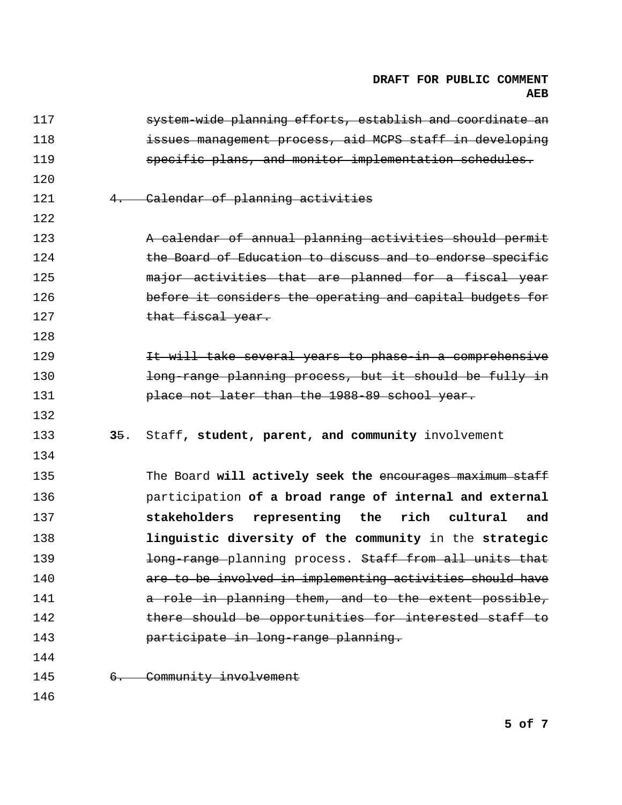| 117 |     | system-wide planning efforts, establish and coordinate an |
|-----|-----|-----------------------------------------------------------|
| 118 |     | issues management process, aid MCPS staff in developing   |
| 119 |     | specific plans, and monitor implementation schedules.     |
| 120 |     |                                                           |
| 121 | 4.  | Calendar of planning activities                           |
| 122 |     |                                                           |
| 123 |     | A calendar of annual planning activities should permit    |
| 124 |     | the Board of Education to discuss and to endorse specific |
| 125 |     | major activities that are planned for a fiscal year       |
| 126 |     | before it considers the operating and capital budgets for |
| 127 |     | that fiscal year.                                         |
| 128 |     |                                                           |
| 129 |     | It will take several years to phase-in a comprehensive    |
| 130 |     | long range planning process, but it should be fully in    |
| 131 |     | place not later than the 1988 89 school year.             |
|     |     |                                                           |
| 132 |     |                                                           |
| 133 | 35. | Staff, student, parent, and community involvement         |
| 134 |     |                                                           |
| 135 |     | The Board will actively seek the encourages maximum staff |
| 136 |     | participation of a broad range of internal and external   |
| 137 |     | stakeholders<br>representing the<br>rich cultural<br>and  |
| 138 |     | linguistic diversity of the community in the strategic    |
| 139 |     | long-range planning process. Staff from all units that    |
| 140 |     | are to be involved in implementing activities should have |
| 141 |     | a role in planning them, and to the extent possible,      |
| 142 |     | there should be opportunities for interested staff to     |
| 143 |     | participate in long-range planning.                       |
| 144 |     |                                                           |
| 145 |     | 6. Community involvement                                  |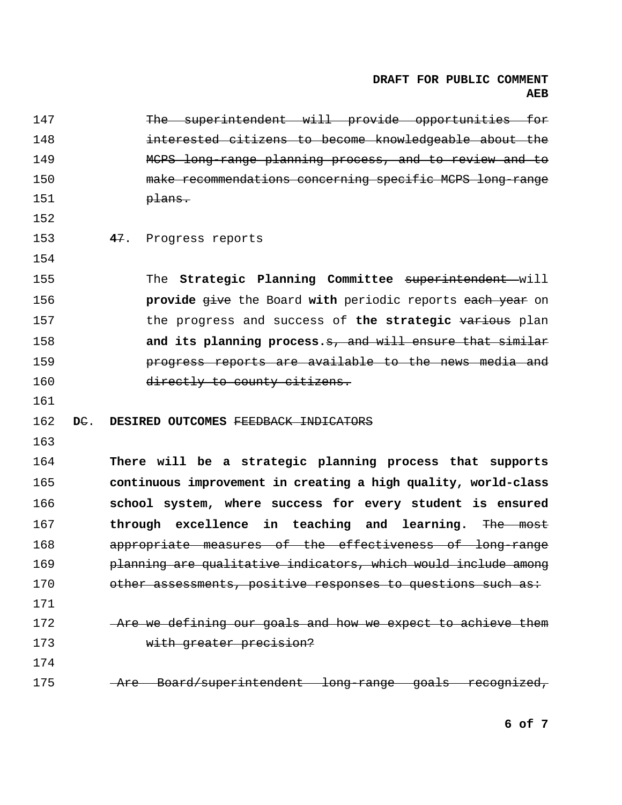| 147 |        | The superintendent will provide opportunities for              |
|-----|--------|----------------------------------------------------------------|
| 148 |        | interested citizens to become knowledgeable about the          |
| 149 |        | MCPS long-range planning process, and to review and to         |
| 150 |        | make recommendations concerning specific MCPS long-range       |
| 151 |        | <del>plans.</del>                                              |
| 152 |        |                                                                |
| 153 |        | 47.<br>Progress reports                                        |
| 154 |        |                                                                |
| 155 |        | The Strategic Planning Committee superintendent will           |
| 156 |        | provide give the Board with periodic reports each year on      |
| 157 |        | the progress and success of the strategic various plan         |
| 158 |        | and its planning process.s, and will ensure that similar       |
| 159 |        | progress reports are available to the news media and           |
| 160 |        | directly to county citizens.                                   |
|     |        |                                                                |
| 161 |        |                                                                |
| 162 | $DE$ . | DESIRED OUTCOMES FEEDBACK INDICATORS                           |
| 163 |        |                                                                |
| 164 |        | There will be a strategic planning process that supports       |
| 165 |        | continuous improvement in creating a high quality, world-class |
| 166 |        | school system, where success for every student is ensured      |
| 167 |        | through excellence in teaching and learning. The most          |
| 168 |        | appropriate measures of the effectiveness of long-range        |
| 169 |        | planning are qualitative indicators, which would include among |
| 170 |        | other assessments, positive responses to questions such as:    |
| 171 |        |                                                                |
| 172 |        | -Are we defining our goals and how we expect to achieve them   |
| 173 |        | with greater precision?                                        |
| 174 |        |                                                                |